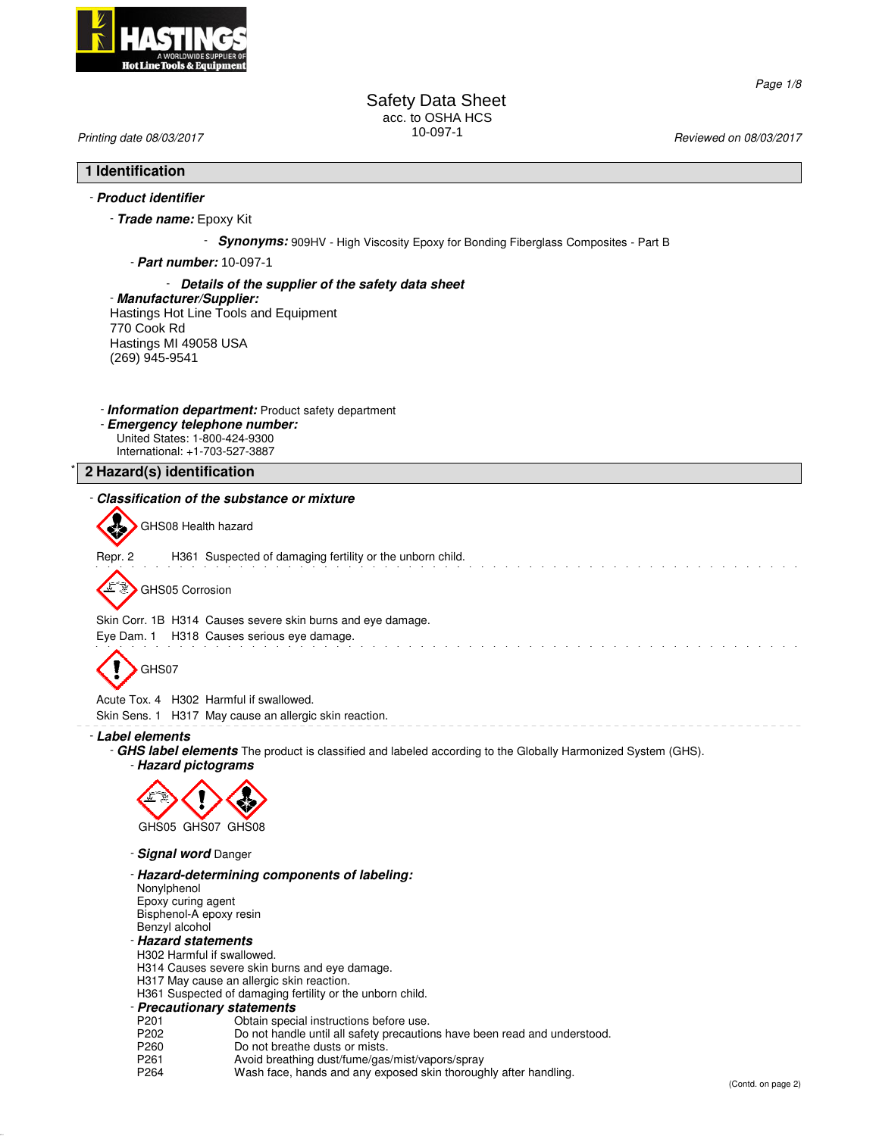

Page 1/8

Safety Data Sheet acc. to OSHA HCS 10-097-1 Printing date 08/03/2017 Reviewed on 08/03/2017

# **1 Identification**

# - **Product identifier**

- **Trade name:** Epoxy Kit

**Synonyms:** 909HV - High Viscosity Epoxy for Bonding Fiberglass Composites - Part B

- **Part number:** 10-097-1

### - **Details of the supplier of the safety data sheet**

- **Manufacturer/Supplier:** Hastings Hot Line Tools and Equipment 770 Cook Rd Hastings MI 49058 USA (269) 945-9541

- **Information department:** Product safety department
- **Emergency telephone number:** United States: 1-800-424-9300 International: +1-703-527-3887

\* **2 Hazard(s) identification**

# - **Classification of the substance or mixture**

GHS08 Health hazard

Repr. 2 H361 Suspected of damaging fertility or the unborn child.

GHS05 Corrosion

Skin Corr. 1B H314 Causes severe skin burns and eye damage.

Eye Dam. 1 H318 Causes serious eye damage.



**A** 

Acute Tox. 4 H302 Harmful if swallowed.

Skin Sens. 1 H317 May cause an allergic skin reaction.

#### - **Label elements**

- **GHS label elements** The product is classified and labeled according to the Globally Harmonized System (GHS).

- **Hazard pictograms**



- **Signal word** Danger

- **Hazard-determining components of labeling:**

Nonylphenol Epoxy curing agent Bisphenol-A epoxy resin

#### Benzyl alcohol - **Hazard statements**

- H302 Harmful if swallowed.
- H314 Causes severe skin burns and eye damage.
- H317 May cause an allergic skin reaction.
- H361 Suspected of damaging fertility or the unborn child.

# - **Precautionary statements**

- 
- P201 **Obtain special instructions before use.**<br>P202 Do not handle until all safety precaution P202 Do not handle until all safety precautions have been read and understood.<br>P260 Do not breathe dusts or mists.
- P260 Do not breathe dusts or mists.<br>P261 Avoid breathing dust/fume/gas
- P261 Avoid breathing dust/fume/gas/mist/vapors/spray<br>P264 Wash face, hands and any exposed skin thoroug
- Wash face, hands and any exposed skin thoroughly after handling.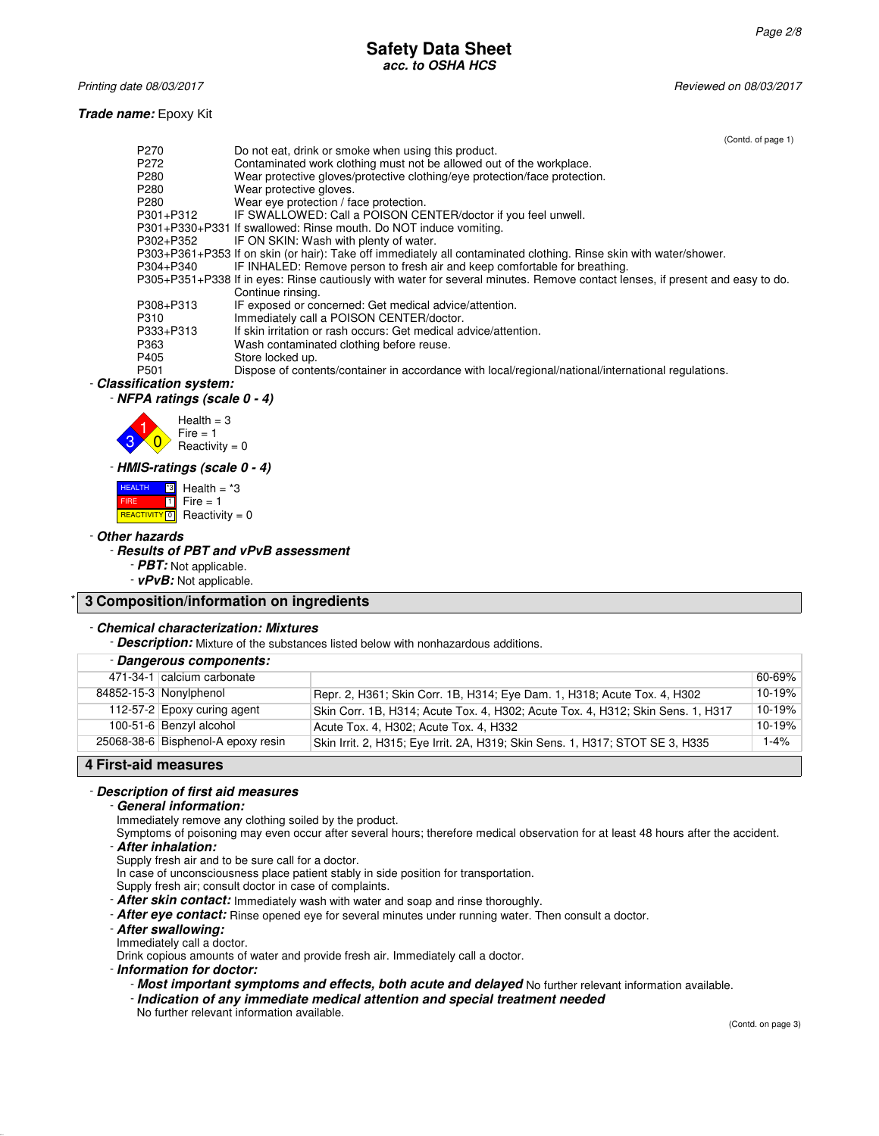#### **Safety Data Sheet acc. to OSHA HCS**

Printing date 08/03/2017 **Printing date 08/03/2017** and the state of the state of the state of the state of the state of the state of the state of the state of the state of the state of the state of the state of the state

### **Trade name:** Epoxy Kit

|           | (Contd. of page 1)                                                                                                            |
|-----------|-------------------------------------------------------------------------------------------------------------------------------|
| P270      | Do not eat, drink or smoke when using this product.                                                                           |
| P272      | Contaminated work clothing must not be allowed out of the workplace.                                                          |
| P280      | Wear protective gloves/protective clothing/eye protection/face protection.                                                    |
| P280      | Wear protective gloves.                                                                                                       |
| P280      | Wear eye protection / face protection.                                                                                        |
| P301+P312 | IF SWALLOWED: Call a POISON CENTER/doctor if you feel unwell.                                                                 |
|           | P301+P330+P331 If swallowed: Rinse mouth. Do NOT induce vomiting.                                                             |
| P302+P352 | IF ON SKIN: Wash with plenty of water.                                                                                        |
|           | P303+P361+P353 If on skin (or hair): Take off immediately all contaminated clothing. Rinse skin with water/shower.            |
| P304+P340 | IF INHALED: Remove person to fresh air and keep comfortable for breathing.                                                    |
|           | P305+P351+P338 If in eyes: Rinse cautiously with water for several minutes. Remove contact lenses, if present and easy to do. |
|           | Continue rinsing.                                                                                                             |
| P308+P313 | IF exposed or concerned: Get medical advice/attention.                                                                        |
| P310      | Immediately call a POISON CENTER/doctor.                                                                                      |
| P333+P313 | If skin irritation or rash occurs: Get medical advice/attention.                                                              |
| P363      | Wash contaminated clothing before reuse.                                                                                      |
| P405      | Store locked up.                                                                                                              |
| P501      | Dispose of contents/container in accordance with local/regional/national/international regulations.                           |

# - **Classification system:**

- **NFPA ratings (scale 0 - 4)**



#### - **HMIS-ratings (scale 0 - 4)**

 HEALTH FIRE **REACTIVITY** 0 \*3 ០ Health  $=$   $*3$ Fire = 1 Reactivity  $= 0$ 

#### - **Other hazards**

# - **Results of PBT and vPvB assessment**

- **PBT:** Not applicable.

- **vPvB:** Not applicable.

# \* **3 Composition/information on ingredients**

#### - **Chemical characterization: Mixtures**

- **Description:** Mixture of the substances listed below with nonhazardous additions.

| - Dangerous components:            |                                                                                 |        |
|------------------------------------|---------------------------------------------------------------------------------|--------|
| 471-34-1 calcium carbonate         |                                                                                 | 60-69% |
| 84852-15-3 Nonylphenol             | Repr. 2, H361; Skin Corr. 1B, H314; Eye Dam. 1, H318; Acute Tox. 4, H302        | 10-19% |
| 112-57-2 Epoxy curing agent        | Skin Corr. 1B, H314; Acute Tox. 4, H302; Acute Tox. 4, H312; Skin Sens. 1, H317 | 10-19% |
| 100-51-6 Benzyl alcohol            | Acute Tox. 4, H302; Acute Tox. 4, H332                                          | 10-19% |
| 25068-38-6 Bisphenol-A epoxy resin | Skin Irrit. 2, H315; Eye Irrit. 2A, H319; Skin Sens. 1, H317; STOT SE 3, H335   | 1-4%   |
|                                    |                                                                                 |        |

# **4 First-aid measures**

#### - **Description of first aid measures**

#### - **General information:**

Immediately remove any clothing soiled by the product.

Symptoms of poisoning may even occur after several hours; therefore medical observation for at least 48 hours after the accident. - **After inhalation:**

Supply fresh air and to be sure call for a doctor.

In case of unconsciousness place patient stably in side position for transportation.

Supply fresh air; consult doctor in case of complaints.

- **After skin contact:** Immediately wash with water and soap and rinse thoroughly.
- **After eye contact:** Rinse opened eye for several minutes under running water. Then consult a doctor.

# - **After swallowing:**

Immediately call a doctor.

Drink copious amounts of water and provide fresh air. Immediately call a doctor.

- **Information for doctor:**

- **Most important symptoms and effects, both acute and delayed** No further relevant information available.

- **Indication of any immediate medical attention and special treatment needed**
- No further relevant information available.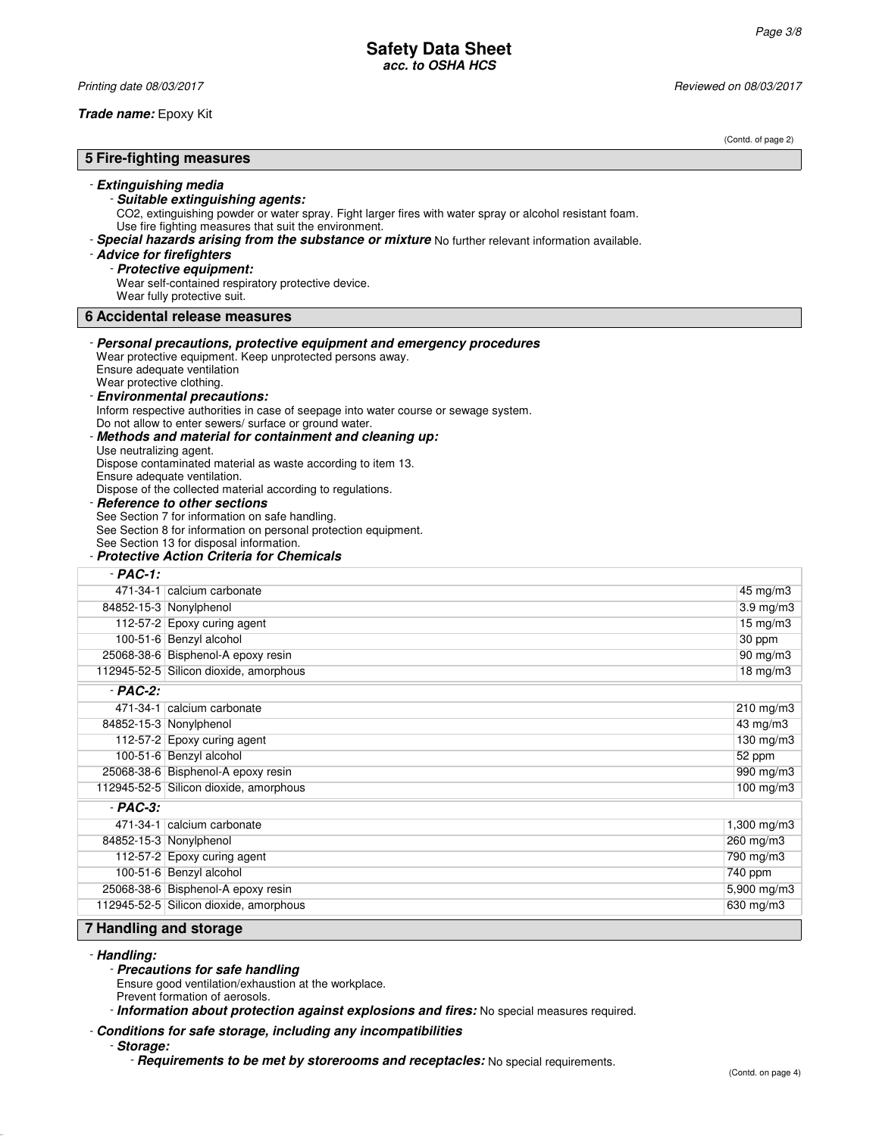Printing date 08/03/2017 Reviewed on 08/03/2017

**Trade name:** Epoxy Kit

(Contd. of page 2) **5 Fire-fighting measures** - **Extinguishing media** - **Suitable extinguishing agents:** CO2, extinguishing powder or water spray. Fight larger fires with water spray or alcohol resistant foam. Use fire fighting measures that suit the environment. - **Special hazards arising from the substance or mixture** No further relevant information available. - **Advice for firefighters** - **Protective equipment:** Wear self-contained respiratory protective device. Wear fully protective suit. **6 Accidental release measures** - **Personal precautions, protective equipment and emergency procedures** Wear protective equipment. Keep unprotected persons away. Ensure adequate ventilation Wear protective clothing. - **Environmental precautions:** Inform respective authorities in case of seepage into water course or sewage system. Do not allow to enter sewers/ surface or ground water. - **Methods and material for containment and cleaning up:** Use neutralizing agent. Dispose contaminated material as waste according to item 13. Ensure adequate ventilation. Dispose of the collected material according to regulations. **Reference to other sections** See Section 7 for information on safe handling. See Section 8 for information on personal protection equipment. See Section 13 for disposal information. - **Protective Action Criteria for Chemicals** - **PAC-1:** 471-34-1 calcium carbonate 45 mg/m3 84852-15-3 Nonylphenol 3.9 mg/m3 112-57-2 Epoxy curing agent 15 mg/m3 100-51-6 Benzyl alcohol 30 ppm 25068-38-6 Bisphenol-A epoxy resin 90 mg/m3 112945-52-5 Silicon dioxide, amorphous 18 mg/m3 - **PAC-2:** 471-34-1 calcium carbonate 210 mg/m3 84852-15-3 Nonylphenol 43 mg/m3 112-57-2 Epoxy curing agent 130 mg/m3 100-51-6 Benzyl alcohol 52 ppm 25068-38-6 Bisphenol-A epoxy resin 990 mg/m3 112945-52-5 Silicon dioxide, amorphous 100 mg/m3 - **PAC-3:** 471-34-1 calcium carbonate 1,300 mg/m3 84852-15-3 Nonylphenol 260 mg/m3 112-57-2 Epoxy curing agent 790 mg/m3 100-51-6 Benzyl alcohol 740 ppm 25068-38-6 Bisphenol-A epoxy resin 5,900 mg/m3 112945-52-5 Silicon dioxide, amorphous 630 mg/m3 **7 Handling and storage**

- **Handling:**

- **Precautions for safe handling**

Ensure good ventilation/exhaustion at the workplace.

Prevent formation of aerosols.

- **Information about protection against explosions and fires:** No special measures required.

- **Conditions for safe storage, including any incompatibilities**

- **Storage:**

- **Requirements to be met by storerooms and receptacles:** No special requirements.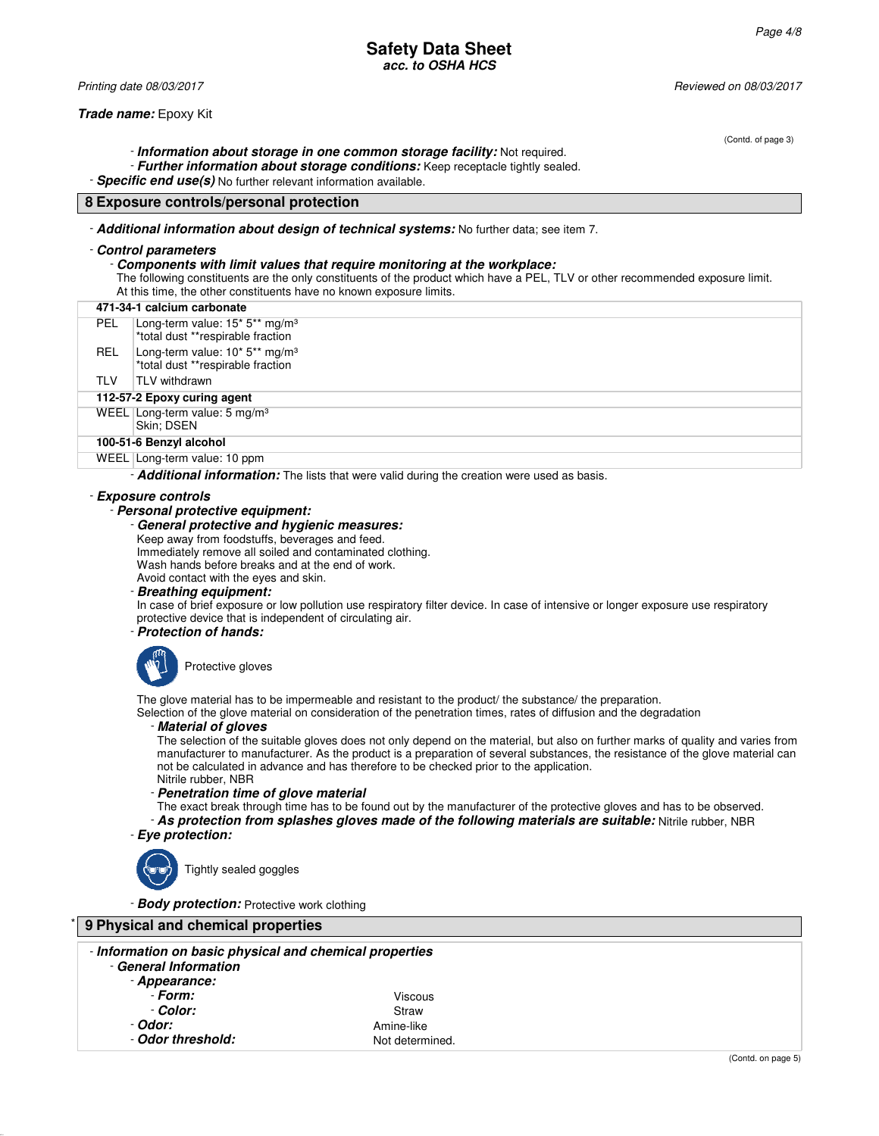# **Safety Data Sheet acc. to OSHA HCS**

Printing date 08/03/2017 Reviewed on 08/03/2017

**Trade name:** Epoxy Kit

- **Information about storage in one common storage facility:** Not required.

- **Further information about storage conditions:** Keep receptacle tightly sealed.

- **Specific end use(s)** No further relevant information available.

# **8 Exposure controls/personal protection**

- **Additional information about design of technical systems:** No further data; see item 7.

#### - **Control parameters**

#### - **Components with limit values that require monitoring at the workplace:**

The following constituents are the only constituents of the product which have a PEL, TLV or other recommended exposure limit. At this time, the other constituents have no known exposure limits.

| 471-34-1 calcium carbonate |                                                                                 |  |
|----------------------------|---------------------------------------------------------------------------------|--|
| <b>PEL</b>                 | Long-term value: $15*5**mg/m3$<br>*total dust **respirable fraction             |  |
| <b>REL</b>                 | Long-term value: 10* 5** mg/m <sup>3</sup><br>*total dust **respirable fraction |  |
| <b>TLV</b>                 | TLV withdrawn                                                                   |  |
|                            | 112-57-2 Epoxy curing agent                                                     |  |
|                            | WEEL Long-term value: $5 \text{ mg/m}^3$<br>Skin: DSEN                          |  |
|                            | 100-51-6 Benzyl alcohol                                                         |  |
|                            | WEEL Long-term value: 10 ppm                                                    |  |

- **Additional information:** The lists that were valid during the creation were used as basis.

### - **Exposure controls**

- **Personal protective equipment:**

#### - **General protective and hygienic measures:**

Keep away from foodstuffs, beverages and feed.

Immediately remove all soiled and contaminated clothing.

Wash hands before breaks and at the end of work.

Avoid contact with the eyes and skin.

# - **Breathing equipment:**

In case of brief exposure or low pollution use respiratory filter device. In case of intensive or longer exposure use respiratory protective device that is independent of circulating air.

#### - **Protection of hands:**



The glove material has to be impermeable and resistant to the product/ the substance/ the preparation.

Selection of the glove material on consideration of the penetration times, rates of diffusion and the degradation

## - **Material of gloves**

The selection of the suitable gloves does not only depend on the material, but also on further marks of quality and varies from manufacturer to manufacturer. As the product is a preparation of several substances, the resistance of the glove material can not be calculated in advance and has therefore to be checked prior to the application. Nitrile rubber, NBR

- **Penetration time of glove material**
- The exact break through time has to be found out by the manufacturer of the protective gloves and has to be observed.

- **As protection from splashes gloves made of the following materials are suitable:** Nitrile rubber, NBR - **Eye protection:**

Tightly sealed goggles

- **Body protection:** Protective work clothing

| 9 Physical and chemical properties                                                                |                 |  |
|---------------------------------------------------------------------------------------------------|-----------------|--|
| - Information on basic physical and chemical properties<br>- General Information<br>- Appearance: |                 |  |
| - Form:                                                                                           | <b>Viscous</b>  |  |
| - Color:                                                                                          | Straw           |  |
| - Odor:                                                                                           | Amine-like      |  |
| - Odor threshold:                                                                                 | Not determined. |  |

(Contd. of page 3)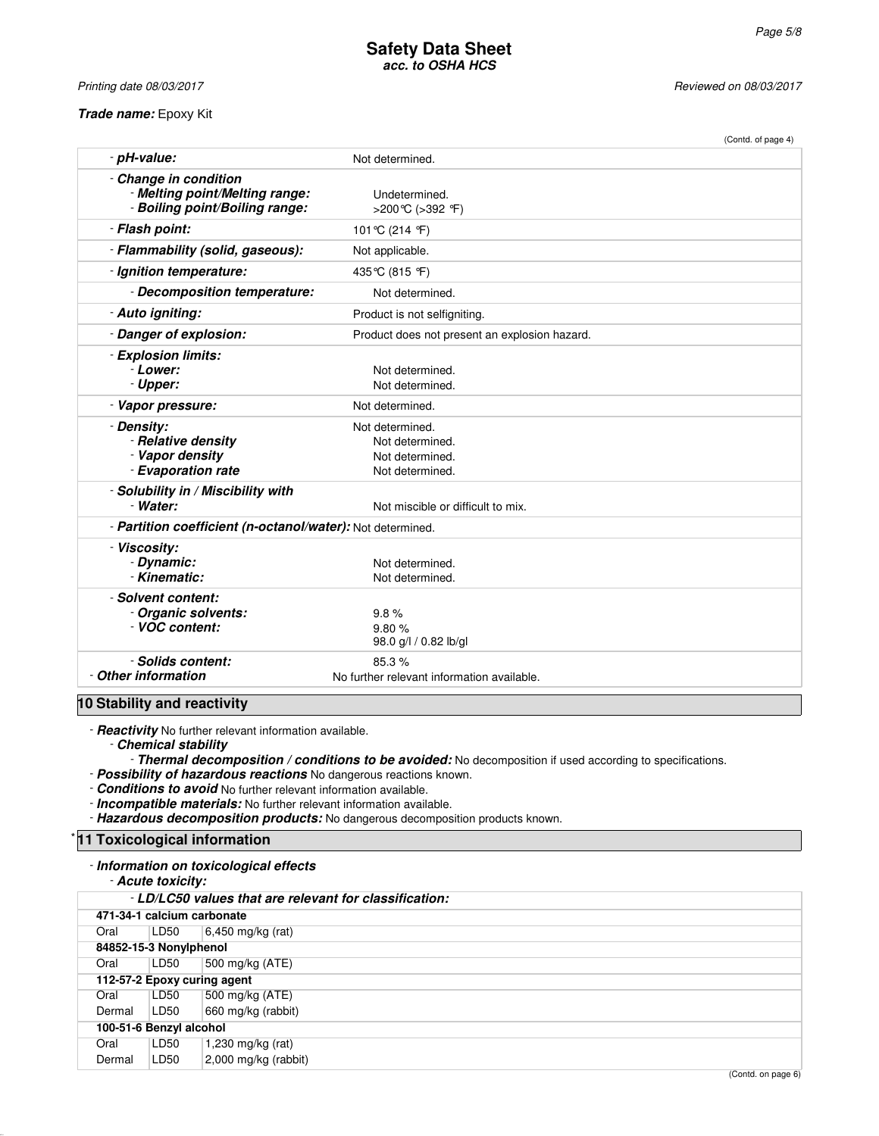**Trade name:** Epoxy Kit

Printing date 08/03/2017 Reviewed on 08/03/2017

|                                                            |                                               | (Contd. of page 4) |
|------------------------------------------------------------|-----------------------------------------------|--------------------|
| - pH-value:                                                | Not determined.                               |                    |
| - Change in condition                                      |                                               |                    |
| - Melting point/Melting range:                             | Undetermined.                                 |                    |
| - Boiling point/Boiling range:                             | >200 °C (>392 °F)                             |                    |
| - Flash point:                                             | 101°C (214 °F)                                |                    |
| - Flammability (solid, gaseous):                           | Not applicable.                               |                    |
| - Ignition temperature:                                    | 435°C (815 °F)                                |                    |
| - Decomposition temperature:                               | Not determined.                               |                    |
| - Auto igniting:                                           | Product is not selfigniting.                  |                    |
| - Danger of explosion:                                     | Product does not present an explosion hazard. |                    |
| - Explosion limits:                                        |                                               |                    |
| - Lower:                                                   | Not determined.                               |                    |
| - Upper:                                                   | Not determined.                               |                    |
| - Vapor pressure:                                          | Not determined.                               |                    |
| - Density:                                                 | Not determined.                               |                    |
| - Relative density                                         | Not determined.                               |                    |
| - Vapor density                                            | Not determined.                               |                    |
| - Evaporation rate                                         | Not determined.                               |                    |
| - Solubility in / Miscibility with                         |                                               |                    |
| - Water:                                                   | Not miscible or difficult to mix.             |                    |
| - Partition coefficient (n-octanol/water): Not determined. |                                               |                    |
| - Viscosity:                                               |                                               |                    |
| - Dynamic:                                                 | Not determined.                               |                    |
| - Kinematic:                                               | Not determined.                               |                    |
| - Solvent content:                                         |                                               |                    |
| - Organic solvents:                                        | 9.8%                                          |                    |
| - VOC content:                                             | 9.80%                                         |                    |
|                                                            | 98.0 g/l / 0.82 lb/gl                         |                    |
| - Solids content:                                          | 85.3%                                         |                    |
| - Other information                                        | No further relevant information available.    |                    |

- **Reactivity** No further relevant information available.

- **Chemical stability**

- **Thermal decomposition / conditions to be avoided:** No decomposition if used according to specifications.

- **Possibility of hazardous reactions** No dangerous reactions known.

- **Conditions to avoid** No further relevant information available.

- **Incompatible materials:** No further relevant information available.

- **Hazardous decomposition products:** No dangerous decomposition products known.

# **11 Toxicological information**

#### - **Information on toxicological effects**

- **Acute toxicity:**

| - LD/LC50 values that are relevant for classification: |                            |                             |  |
|--------------------------------------------------------|----------------------------|-----------------------------|--|
|                                                        | 471-34-1 calcium carbonate |                             |  |
| Oral                                                   | LD50                       | $6,450$ mg/kg (rat)         |  |
|                                                        | 84852-15-3 Nonylphenol     |                             |  |
| Oral                                                   | LD50                       | 500 mg/kg $(ATE)$           |  |
|                                                        |                            | 112-57-2 Epoxy curing agent |  |
| Oral                                                   | LD50                       | 500 mg/kg (ATE)             |  |
| Dermal                                                 | LD50                       | 660 mg/kg (rabbit)          |  |
|                                                        | 100-51-6 Benzyl alcohol    |                             |  |
| Oral                                                   | LD50                       | 1,230 mg/kg (rat)           |  |
| Dermal                                                 | LD50                       | 2,000 mg/kg (rabbit)        |  |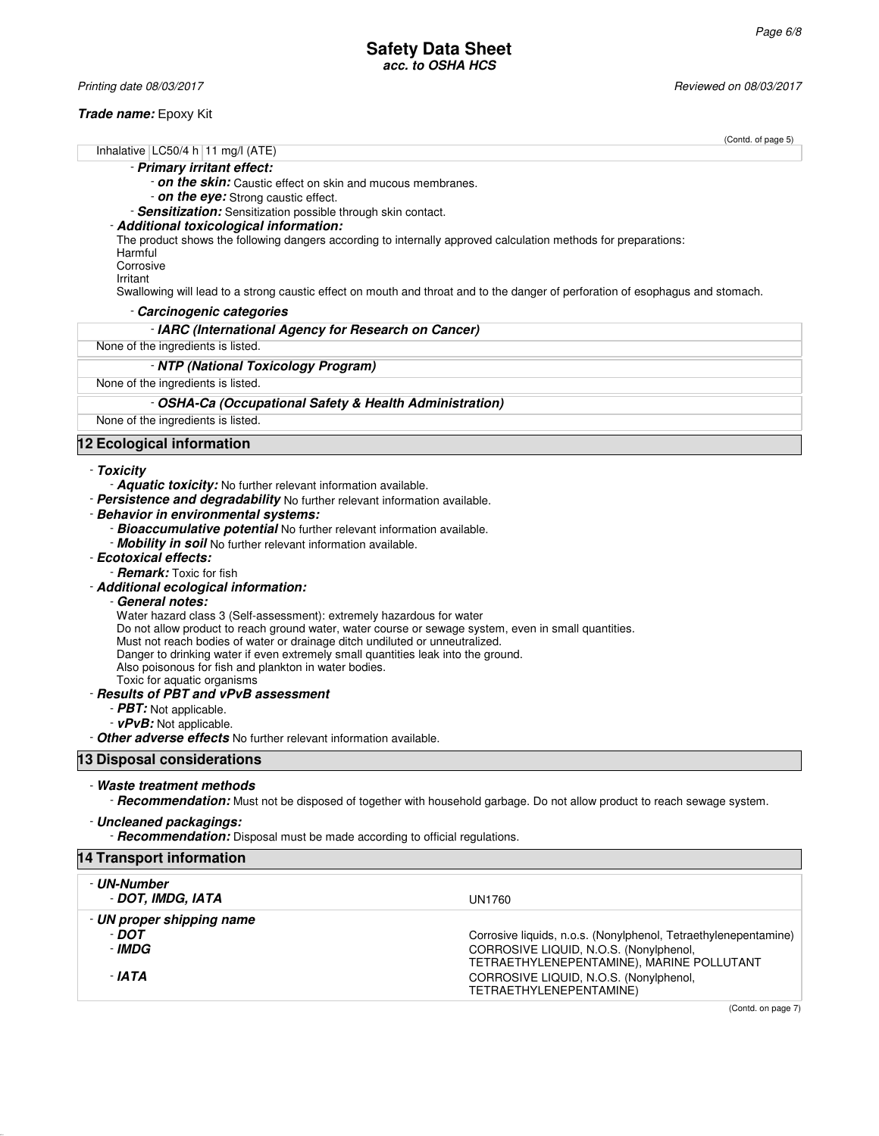Printing date 08/03/2017 **Printing date 08/03/2017** Reviewed on 08/03/2017

# **Trade name:** Epoxy Kit

|                                                                                                                                        | (Contd. of page 5) |
|----------------------------------------------------------------------------------------------------------------------------------------|--------------------|
| Inhalative $ LOG0/4 h 11 mg/1 (ATE)$                                                                                                   |                    |
| - Primary irritant effect:                                                                                                             |                    |
| - on the skin: Caustic effect on skin and mucous membranes.                                                                            |                    |
| - on the eye: Strong caustic effect.                                                                                                   |                    |
| - Sensitization: Sensitization possible through skin contact.                                                                          |                    |
| - Additional toxicological information:                                                                                                |                    |
| The product shows the following dangers according to internally approved calculation methods for preparations:<br>Harmful<br>Corrosive |                    |
| Irritant                                                                                                                               |                    |
| Swallowing will lead to a strong caustic effect on mouth and throat and to the danger of perforation of esophagus and stomach.         |                    |
| - Carcinogenic categories                                                                                                              |                    |
| - IARC (International Agency for Research on Cancer)                                                                                   |                    |
| None of the ingredients is listed.                                                                                                     |                    |
| - NTP (National Toxicology Program)                                                                                                    |                    |
| None of the ingredients is listed.                                                                                                     |                    |
| - OSHA-Ca (Occupational Safety & Health Administration)                                                                                |                    |
| None of the ingredients is listed.                                                                                                     |                    |
| 12 Ecological information                                                                                                              |                    |
| - Toxicity                                                                                                                             |                    |
| - <b>Aquatic toxicity:</b> No further relevant information available.                                                                  |                    |
| - Persistence and degradability No further relevant information available.                                                             |                    |
| - Behavior in environmental systems:                                                                                                   |                    |
| - Bioaccumulative potential No further relevant information available.                                                                 |                    |

- **Mobility in soil** No further relevant information available.
- **Ecotoxical effects:**
	- **Remark:** Toxic for fish
- **Additional ecological information:**
	- **General notes:**

Water hazard class 3 (Self-assessment): extremely hazardous for water

Do not allow product to reach ground water, water course or sewage system, even in small quantities.

Must not reach bodies of water or drainage ditch undiluted or unneutralized.

Danger to drinking water if even extremely small quantities leak into the ground.

Also poisonous for fish and plankton in water bodies.

Toxic for aquatic organisms

# - **Results of PBT and vPvB assessment**

- **PBT:** Not applicable.
- **vPvB:** Not applicable.

- **Other adverse effects** No further relevant information available.

# **13 Disposal considerations**

# - **Waste treatment methods**

- **Recommendation:** Must not be disposed of together with household garbage. Do not allow product to reach sewage system.

# - **Uncleaned packagings:**

- **Recommendation:** Disposal must be made according to official regulations.

# **14 Transport information**

| - UN-Number<br>- DOT. IMDG. IATA                       | UN1760                                                                                                                                                                                                                      |
|--------------------------------------------------------|-----------------------------------------------------------------------------------------------------------------------------------------------------------------------------------------------------------------------------|
| - UN proper shipping name<br>- DOT<br>- IMDG<br>- IATA | Corrosive liquids, n.o.s. (Nonylphenol, Tetraethylenepentamine)<br>CORROSIVE LIQUID, N.O.S. (Nonylphenol,<br>TETRAETHYLENEPENTAMINE), MARINE POLLUTANT<br>CORROSIVE LIQUID, N.O.S. (Nonylphenol,<br>TETRAETHYLENEPENTAMINE) |

(Contd. on page 7)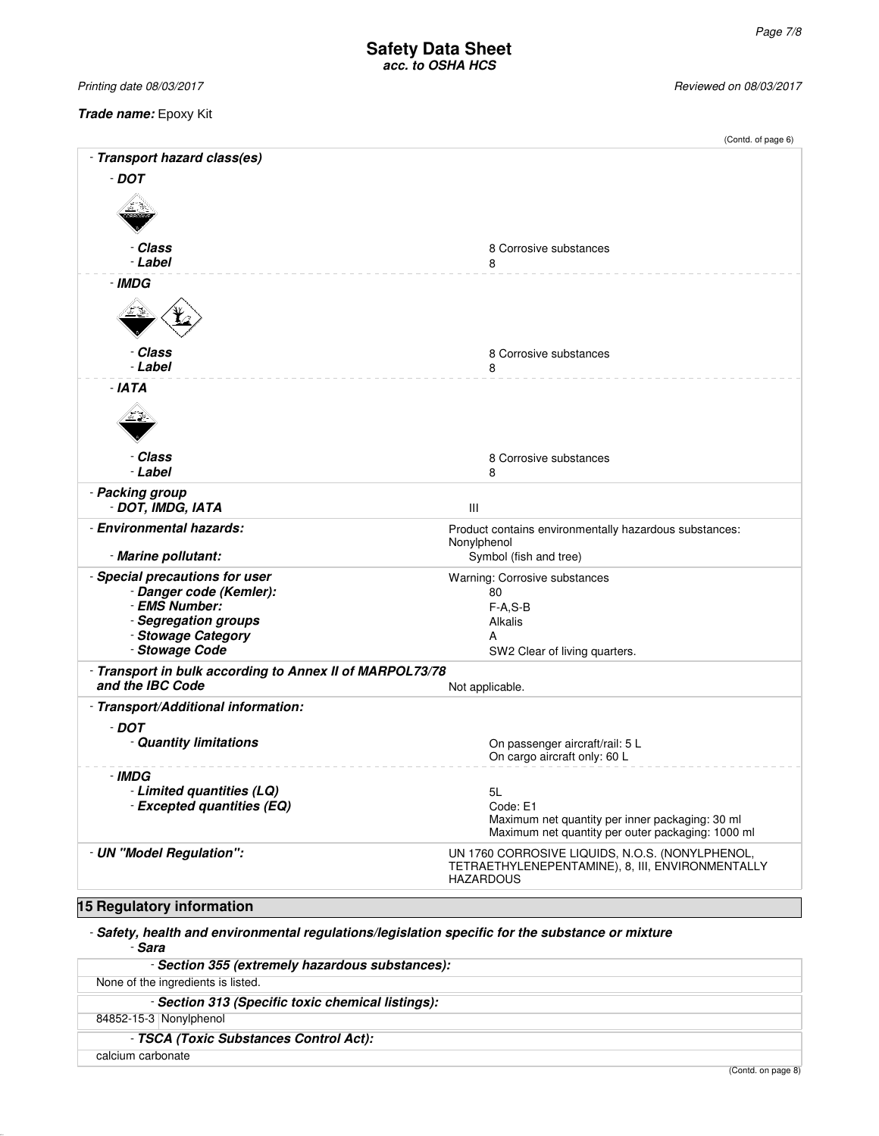Printing date 08/03/2017 Printing date 08/03/2017

**Trade name:** Epoxy Kit

|                                                                                                                                            | (Contd. of page 6)                                                                                                      |
|--------------------------------------------------------------------------------------------------------------------------------------------|-------------------------------------------------------------------------------------------------------------------------|
| - Transport hazard class(es)                                                                                                               |                                                                                                                         |
| $-$ DOT                                                                                                                                    |                                                                                                                         |
|                                                                                                                                            |                                                                                                                         |
| - Class<br>- Label                                                                                                                         | 8 Corrosive substances<br>8                                                                                             |
| - IMDG                                                                                                                                     |                                                                                                                         |
|                                                                                                                                            |                                                                                                                         |
| - Class<br>- Label                                                                                                                         | 8 Corrosive substances<br>8                                                                                             |
| $- IATA$                                                                                                                                   |                                                                                                                         |
|                                                                                                                                            |                                                                                                                         |
| - Class<br>- Label                                                                                                                         | 8 Corrosive substances<br>8                                                                                             |
| - Packing group<br>- DOT, IMDG, IATA                                                                                                       | $\mathbf{III}$                                                                                                          |
| - Environmental hazards:                                                                                                                   | Product contains environmentally hazardous substances:<br>Nonylphenol                                                   |
| - Marine pollutant:                                                                                                                        | Symbol (fish and tree)                                                                                                  |
| - Special precautions for user<br>- Danger code (Kemler):<br>- EMS Number:<br>- Segregation groups<br>- Stowage Category<br>- Stowage Code | Warning: Corrosive substances<br>80<br>$F-A, S-B$<br>Alkalis<br>А<br>SW2 Clear of living quarters.                      |
| - Transport in bulk according to Annex II of MARPOL73/78                                                                                   |                                                                                                                         |
| and the IBC Code                                                                                                                           | Not applicable.                                                                                                         |
| - Transport/Additional information:                                                                                                        |                                                                                                                         |
| $-$ DOT<br>- Quantity limitations                                                                                                          | On passenger aircraft/rail: 5 L<br>On cargo aircraft only: 60 L                                                         |
| - IMDG                                                                                                                                     |                                                                                                                         |
| - Limited quantities (LQ)<br>- Excepted quantities (EQ)                                                                                    | 5L<br>Code: E1<br>Maximum net quantity per inner packaging: 30 ml<br>Maximum net quantity per outer packaging: 1000 ml  |
| - UN "Model Regulation":                                                                                                                   | UN 1760 CORROSIVE LIQUIDS, N.O.S. (NONYLPHENOL,<br>TETRAETHYLENEPENTAMINE), 8, III, ENVIRONMENTALLY<br><b>HAZARDOUS</b> |
| <b>15 Regulatory information</b>                                                                                                           |                                                                                                                         |

- **Safety, health and environmental regulations/legislation specific for the substance or mixture** - **Sara**

| - Section 355 (extremely hazardous substances):   |                |
|---------------------------------------------------|----------------|
| None of the ingredients is listed.                |                |
| - Section 313 (Specific toxic chemical listings): |                |
| 84852-15-3 Nonylphenol                            |                |
| - TSCA (Toxic Substances Control Act):            |                |
| calcium carbonate                                 |                |
|                                                   | (Contdonnone0) |